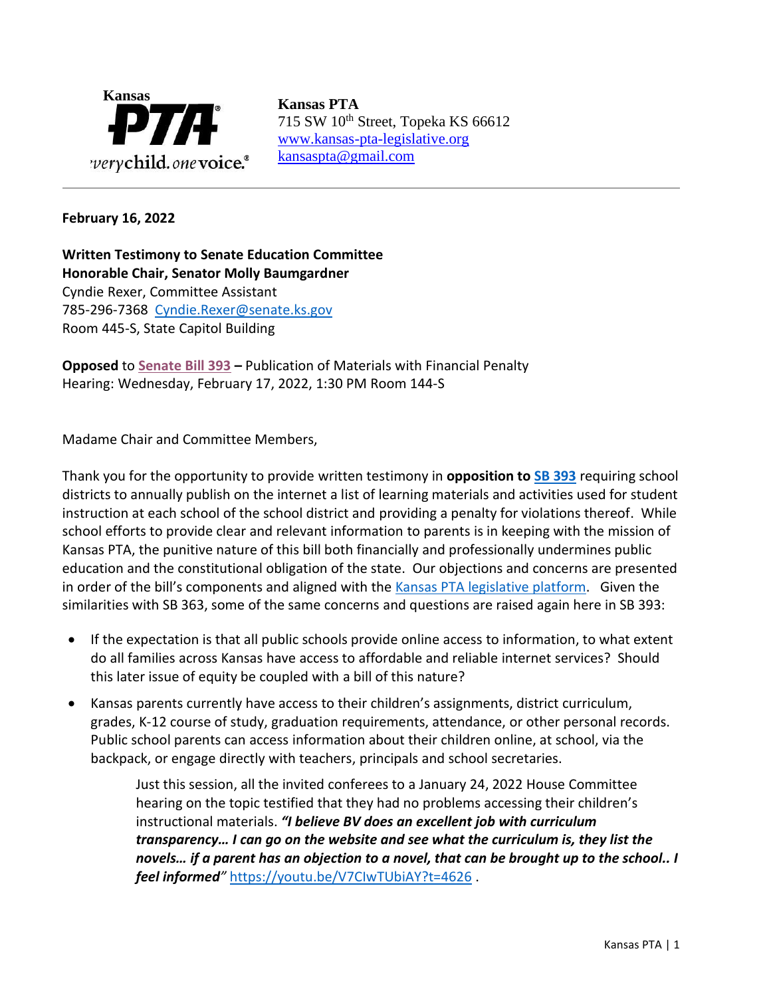

715 SW 10<sup>th</sup> Street, Topeka KS 66612 [www.kansas-pta-legislative.org](http://www.kansas-pta-legislative.org/)  [kansaspta@gmail.com](mailto:kansaspta@gmail.com)

## **February 16, 2022**

**Written Testimony to Senate Education Committee Honorable Chair, Senator Molly Baumgardner** Cyndie Rexer, Committee Assistant 785-296-7368 [Cyndie.Rexer@senate.ks.gov](mailto:Cyndie.Rexer@senate.ks.gov) Room 445-S, State Capitol Building

**Opposed** to **[Senate Bill 393](http://www.kslegislature.org/li/b2021_22/measures/sb393/) –** Publication of Materials with Financial Penalty Hearing: Wednesday, February 17, 2022, 1:30 PM Room 144-S

Madame Chair and Committee Members,

Thank you for the opportunity to provide written testimony in **opposition to [SB 393](http://www.kslegislature.org/li/b2021_22/measures/sb393/)** requiring school districts to annually publish on the internet a list of learning materials and activities used for student instruction at each school of the school district and providing a penalty for violations thereof. While school efforts to provide clear and relevant information to parents is in keeping with the mission of Kansas PTA, the punitive nature of this bill both financially and professionally undermines public education and the constitutional obligation of the state. Our objections and concerns are presented in order of the bill's components and aligned with the [Kansas PTA legislative platform.](https://kansas-pta.org/advocacy/legislative-priorities/) Given the similarities with SB 363, some of the same concerns and questions are raised again here in SB 393:

- If the expectation is that all public schools provide online access to information, to what extent do all families across Kansas have access to affordable and reliable internet services? Should this later issue of equity be coupled with a bill of this nature?
- Kansas parents currently have access to their children's assignments, district curriculum, grades, K-12 course of study, graduation requirements, attendance, or other personal records. Public school parents can access information about their children online, at school, via the backpack, or engage directly with teachers, principals and school secretaries.

Just this session, all the invited conferees to a January 24, 2022 House Committee hearing on the topic testified that they had no problems accessing their children's instructional materials. *"I believe BV does an excellent job with curriculum transparency… I can go on the website and see what the curriculum is, they list the novels… if a parent has an objection to a novel, that can be brought up to the school.. I feel informed"* <https://youtu.be/V7CIwTUbiAY?t=4626> .